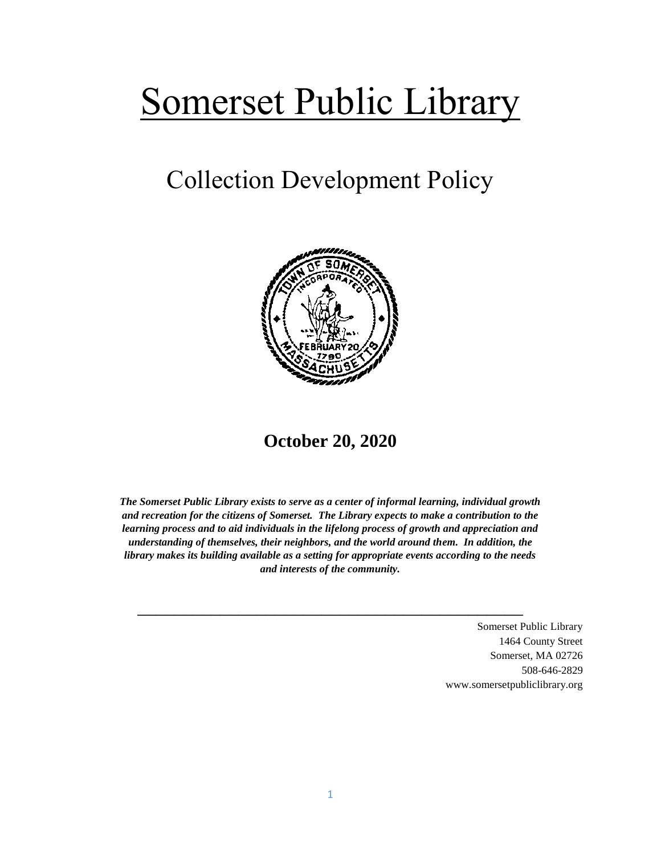# Somerset Public Library

## Collection Development Policy



**October 20, 2020**

*The Somerset Public Library exists to serve as a center of informal learning, individual growth and recreation for the citizens of Somerset. The Library expects to make a contribution to the learning process and to aid individuals in the lifelong process of growth and appreciation and understanding of themselves, their neighbors, and the world around them. In addition, the library makes its building available as a setting for appropriate events according to the needs and interests of the community.*

\_\_\_\_\_\_\_\_\_\_\_\_\_\_\_\_\_\_\_\_\_\_\_\_\_\_\_\_\_\_\_\_\_\_\_\_\_\_\_\_\_\_

Somerset Public Library 1464 County Street Somerset, MA 02726 508-646-2829 www.somersetpubliclibrary.org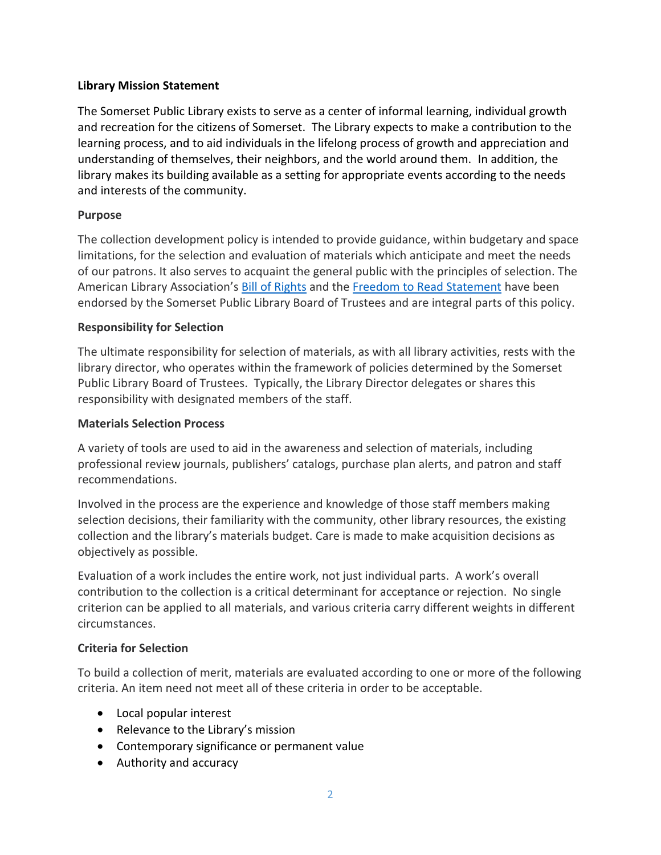#### **Library Mission Statement**

The Somerset Public Library exists to serve as a center of informal learning, individual growth and recreation for the citizens of Somerset. The Library expects to make a contribution to the learning process, and to aid individuals in the lifelong process of growth and appreciation and understanding of themselves, their neighbors, and the world around them. In addition, the library makes its building available as a setting for appropriate events according to the needs and interests of the community.

#### **Purpose**

The collection development policy is intended to provide guidance, within budgetary and space limitations, for the selection and evaluation of materials which anticipate and meet the needs of our patrons. It also serves to acquaint the general public with the principles of selection. The American Library Association's [Bill of Rights](http://www.ala.org/advocacy/intfreedom/librarybill) and th[e Freedom to Read Statement](http://www.ala.org/advocacy/intfreedom/freedomreadstatement) have been endorsed by the Somerset Public Library Board of Trustees and are integral parts of this policy.

#### **Responsibility for Selection**

The ultimate responsibility for selection of materials, as with all library activities, rests with the library director, who operates within the framework of policies determined by the Somerset Public Library Board of Trustees. Typically, the Library Director delegates or shares this responsibility with designated members of the staff.

#### **Materials Selection Process**

A variety of tools are used to aid in the awareness and selection of materials, including professional review journals, publishers' catalogs, purchase plan alerts, and patron and staff recommendations.

Involved in the process are the experience and knowledge of those staff members making selection decisions, their familiarity with the community, other library resources, the existing collection and the library's materials budget. Care is made to make acquisition decisions as objectively as possible.

Evaluation of a work includes the entire work, not just individual parts. A work's overall contribution to the collection is a critical determinant for acceptance or rejection. No single criterion can be applied to all materials, and various criteria carry different weights in different circumstances.

#### **Criteria for Selection**

To build a collection of merit, materials are evaluated according to one or more of the following criteria. An item need not meet all of these criteria in order to be acceptable.

- Local popular interest
- Relevance to the Library's mission
- Contemporary significance or permanent value
- Authority and accuracy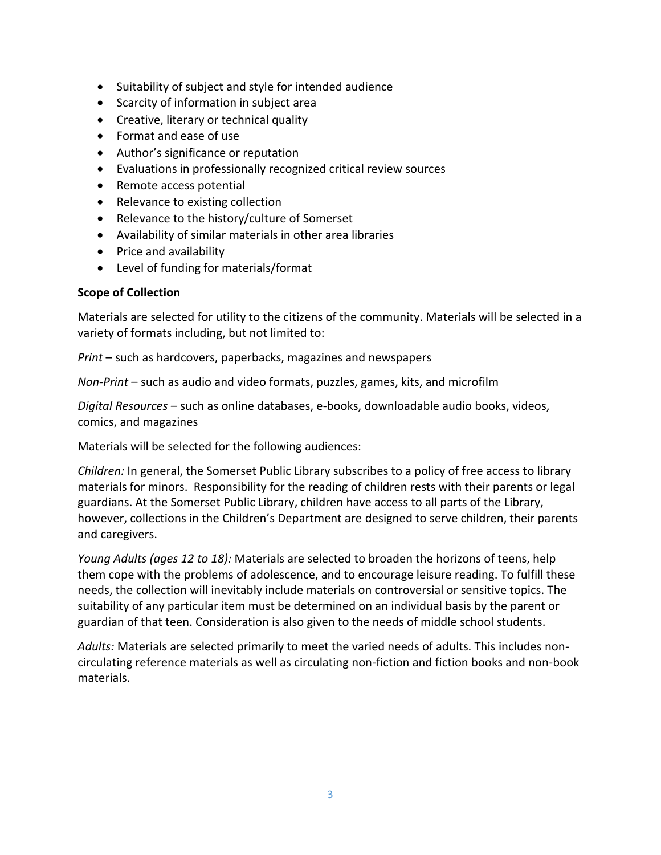- Suitability of subject and style for intended audience
- Scarcity of information in subject area
- Creative, literary or technical quality
- Format and ease of use
- Author's significance or reputation
- Evaluations in professionally recognized critical review sources
- Remote access potential
- Relevance to existing collection
- Relevance to the history/culture of Somerset
- Availability of similar materials in other area libraries
- Price and availability
- Level of funding for materials/format

#### **Scope of Collection**

Materials are selected for utility to the citizens of the community. Materials will be selected in a variety of formats including, but not limited to:

*Print* – such as hardcovers, paperbacks, magazines and newspapers

*Non-Print* – such as audio and video formats, puzzles, games, kits, and microfilm

*Digital Resources* – such as online databases, e-books, downloadable audio books, videos, comics, and magazines

Materials will be selected for the following audiences:

*Children:* In general, the Somerset Public Library subscribes to a policy of free access to library materials for minors. Responsibility for the reading of children rests with their parents or legal guardians. At the Somerset Public Library, children have access to all parts of the Library, however, collections in the Children's Department are designed to serve children, their parents and caregivers.

*Young Adults (ages 12 to 18):* Materials are selected to broaden the horizons of teens, help them cope with the problems of adolescence, and to encourage leisure reading. To fulfill these needs, the collection will inevitably include materials on controversial or sensitive topics. The suitability of any particular item must be determined on an individual basis by the parent or guardian of that teen. Consideration is also given to the needs of middle school students.

*Adults:* Materials are selected primarily to meet the varied needs of adults. This includes noncirculating reference materials as well as circulating non-fiction and fiction books and non-book materials.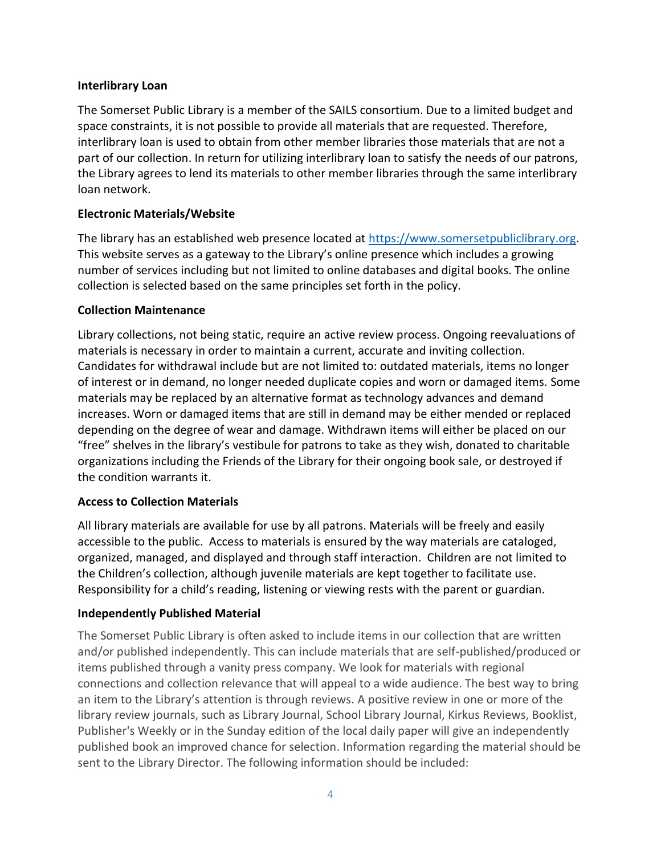#### **Interlibrary Loan**

The Somerset Public Library is a member of the SAILS consortium. Due to a limited budget and space constraints, it is not possible to provide all materials that are requested. Therefore, interlibrary loan is used to obtain from other member libraries those materials that are not a part of our collection. In return for utilizing interlibrary loan to satisfy the needs of our patrons, the Library agrees to lend its materials to other member libraries through the same interlibrary loan network.

#### **Electronic Materials/Website**

The library has an established web presence located at [https://www.somersetpubliclibrary.org.](https://www.somersetpubliclibrary.org/) This website serves as a gateway to the Library's online presence which includes a growing number of services including but not limited to online databases and digital books. The online collection is selected based on the same principles set forth in the policy.

#### **Collection Maintenance**

Library collections, not being static, require an active review process. Ongoing reevaluations of materials is necessary in order to maintain a current, accurate and inviting collection. Candidates for withdrawal include but are not limited to: outdated materials, items no longer of interest or in demand, no longer needed duplicate copies and worn or damaged items. Some materials may be replaced by an alternative format as technology advances and demand increases. Worn or damaged items that are still in demand may be either mended or replaced depending on the degree of wear and damage. Withdrawn items will either be placed on our "free" shelves in the library's vestibule for patrons to take as they wish, donated to charitable organizations including the Friends of the Library for their ongoing book sale, or destroyed if the condition warrants it.

#### **Access to Collection Materials**

All library materials are available for use by all patrons. Materials will be freely and easily accessible to the public. Access to materials is ensured by the way materials are cataloged, organized, managed, and displayed and through staff interaction. Children are not limited to the Children's collection, although juvenile materials are kept together to facilitate use. Responsibility for a child's reading, listening or viewing rests with the parent or guardian.

#### **Independently Published Material**

The Somerset Public Library is often asked to include items in our collection that are written and/or published independently. This can include materials that are self-published/produced or items published through a vanity press company. We look for materials with regional connections and collection relevance that will appeal to a wide audience. The best way to bring an item to the Library's attention is through reviews. A positive review in one or more of the library review journals, such as Library Journal, School Library Journal, Kirkus Reviews, Booklist, Publisher's Weekly or in the Sunday edition of the local daily paper will give an independently published book an improved chance for selection. Information regarding the material should be sent to the Library Director. The following information should be included: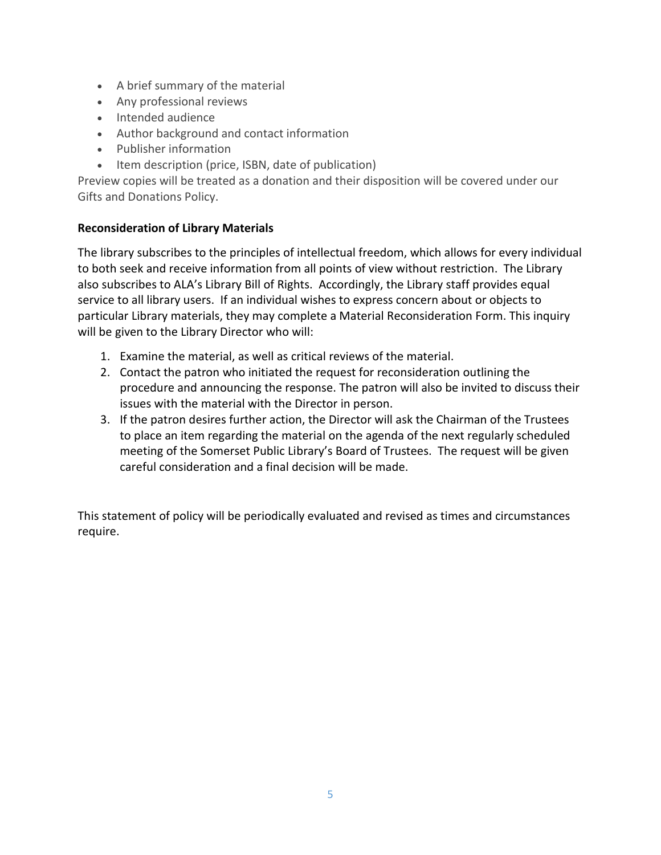- A brief summary of the material
- Any professional reviews
- Intended audience
- Author background and contact information
- Publisher information
- Item description (price, ISBN, date of publication)

Preview copies will be treated as a donation and their disposition will be covered under our Gifts and Donations Policy.

#### **Reconsideration of Library Materials**

The library subscribes to the principles of intellectual freedom, which allows for every individual to both seek and receive information from all points of view without restriction. The Library also subscribes to ALA's Library Bill of Rights. Accordingly, the Library staff provides equal service to all library users. If an individual wishes to express concern about or objects to particular Library materials, they may complete a Material Reconsideration Form. This inquiry will be given to the Library Director who will:

- 1. Examine the material, as well as critical reviews of the material.
- 2. Contact the patron who initiated the request for reconsideration outlining the procedure and announcing the response. The patron will also be invited to discuss their issues with the material with the Director in person.
- 3. If the patron desires further action, the Director will ask the Chairman of the Trustees to place an item regarding the material on the agenda of the next regularly scheduled meeting of the Somerset Public Library's Board of Trustees. The request will be given careful consideration and a final decision will be made.

This statement of policy will be periodically evaluated and revised as times and circumstances require.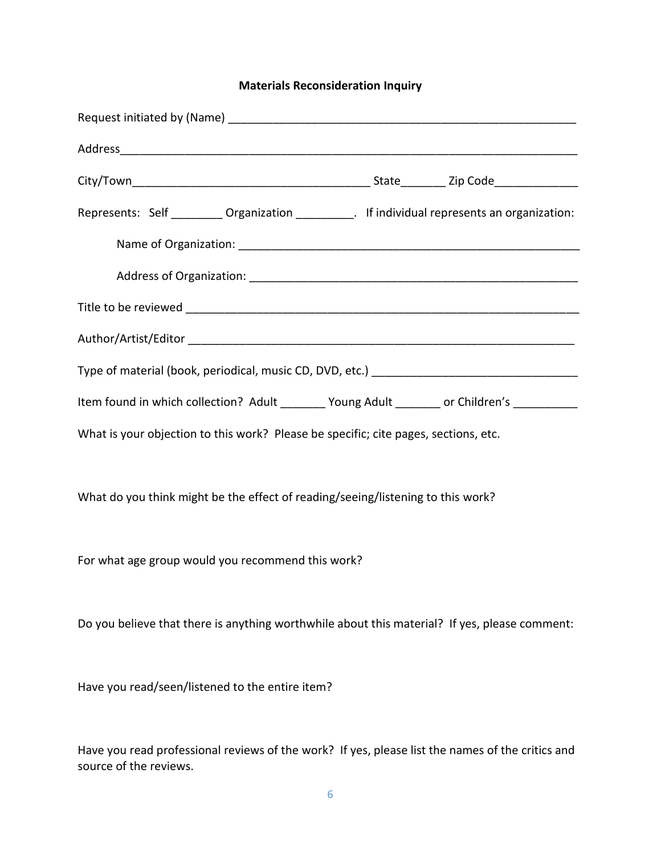### **Materials Reconsideration Inquiry**

| Represents: Self __________ Organization ___________. If individual represents an organization: |
|-------------------------------------------------------------------------------------------------|
|                                                                                                 |
|                                                                                                 |
|                                                                                                 |
|                                                                                                 |
|                                                                                                 |
| Item found in which collection? Adult ________ Young Adult _______ or Children's __________     |
| What is your objection to this work? Please be specific; cite pages, sections, etc.             |
|                                                                                                 |
| What do you think might be the effect of reading/seeing/listening to this work?                 |
|                                                                                                 |
| For what age group would you recommend this work?                                               |
|                                                                                                 |
| Do you believe that there is anything worthwhile about this material? If yes, please comment:   |
|                                                                                                 |
| Have you read/seen/listened to the entire item?                                                 |
|                                                                                                 |

Have you read professional reviews of the work? If yes, please list the names of the critics and source of the reviews.